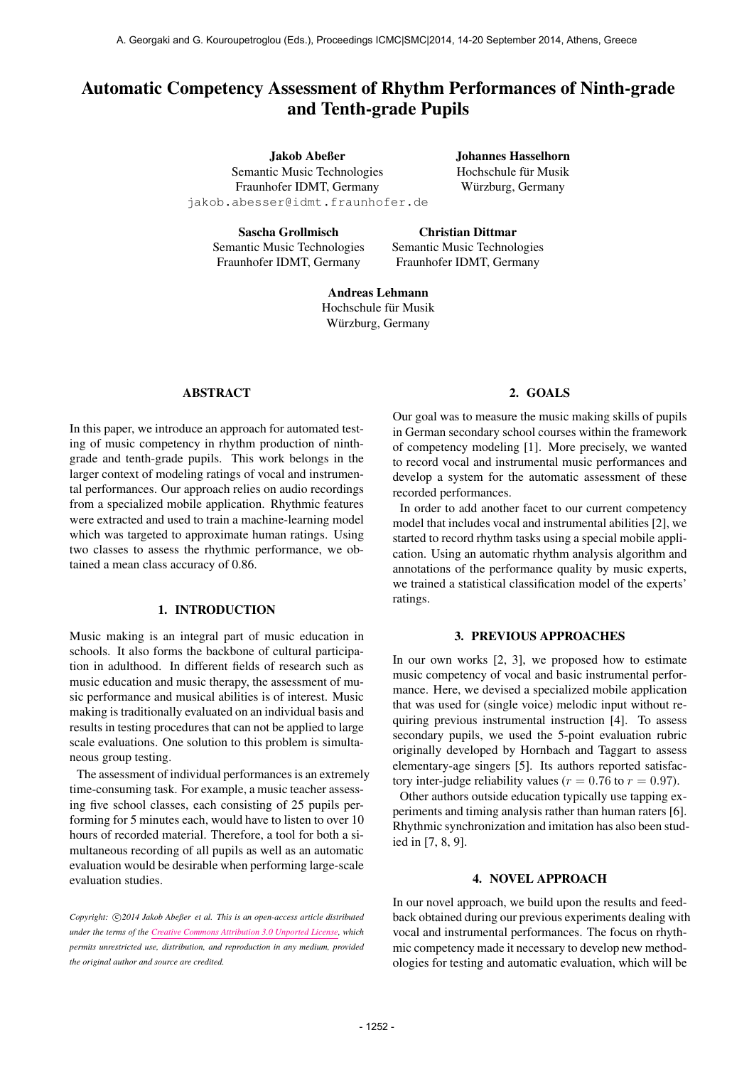# Automatic Competency Assessment of Rhythm Performances of Ninth-grade and Tenth-grade Pupils

Jakob Abeßer Semantic Music Technologies Fraunhofer IDMT, Germany [jakob.abesser@idmt.fraunhofer.de](mailto:jakob.abesser@idmt.fraunhofer.de) Johannes Hasselhorn Hochschule für Musik Würzburg, Germany

Sascha Grollmisch Semantic Music Technologies Fraunhofer IDMT, Germany

Christian Dittmar Semantic Music Technologies Fraunhofer IDMT, Germany

Andreas Lehmann Hochschule für Musik Würzburg, Germany

## ABSTRACT

In this paper, we introduce an approach for automated testing of music competency in rhythm production of ninthgrade and tenth-grade pupils. This work belongs in the larger context of modeling ratings of vocal and instrumental performances. Our approach relies on audio recordings from a specialized mobile application. Rhythmic features were extracted and used to train a machine-learning model which was targeted to approximate human ratings. Using two classes to assess the rhythmic performance, we obtained a mean class accuracy of 0.86.

## 1. INTRODUCTION

Music making is an integral part of music education in schools. It also forms the backbone of cultural participation in adulthood. In different fields of research such as music education and music therapy, the assessment of music performance and musical abilities is of interest. Music making is traditionally evaluated on an individual basis and results in testing procedures that can not be applied to large scale evaluations. One solution to this problem is simultaneous group testing.

The assessment of individual performances is an extremely time-consuming task. For example, a music teacher assessing five school classes, each consisting of 25 pupils performing for 5 minutes each, would have to listen to over 10 hours of recorded material. Therefore, a tool for both a simultaneous recording of all pupils as well as an automatic evaluation would be desirable when performing large-scale evaluation studies.

Copyright:  $\bigcirc$ 2014 Jakob Abeßer et al. This is an open-access article distributed *under the terms of the [Creative Commons Attribution 3.0 Unported License,](http://creativecommons.org/licenses/by/3.0/) which permits unrestricted use, distribution, and reproduction in any medium, provided the original author and source are credited.*

#### 2. GOALS

Our goal was to measure the music making skills of pupils in German secondary school courses within the framework of competency modeling [1]. More precisely, we wanted to record vocal and instrumental music performances and develop a system for the automatic assessment of these recorded performances.

In order to add another facet to our current competency model that includes vocal and instrumental abilities [2], we started to record rhythm tasks using a special mobile application. Using an automatic rhythm analysis algorithm and annotations of the performance quality by music experts, we trained a statistical classification model of the experts' ratings.

## 3. PREVIOUS APPROACHES

In our own works [2, 3], we proposed how to estimate music competency of vocal and basic instrumental performance. Here, we devised a specialized mobile application that was used for (single voice) melodic input without requiring previous instrumental instruction [4]. To assess secondary pupils, we used the 5-point evaluation rubric originally developed by Hornbach and Taggart to assess elementary-age singers [5]. Its authors reported satisfactory inter-judge reliability values ( $r = 0.76$  to  $r = 0.97$ ).

Other authors outside education typically use tapping experiments and timing analysis rather than human raters [6]. Rhythmic synchronization and imitation has also been studied in [7, 8, 9].

#### 4. NOVEL APPROACH

In our novel approach, we build upon the results and feedback obtained during our previous experiments dealing with vocal and instrumental performances. The focus on rhythmic competency made it necessary to develop new methodologies for testing and automatic evaluation, which will be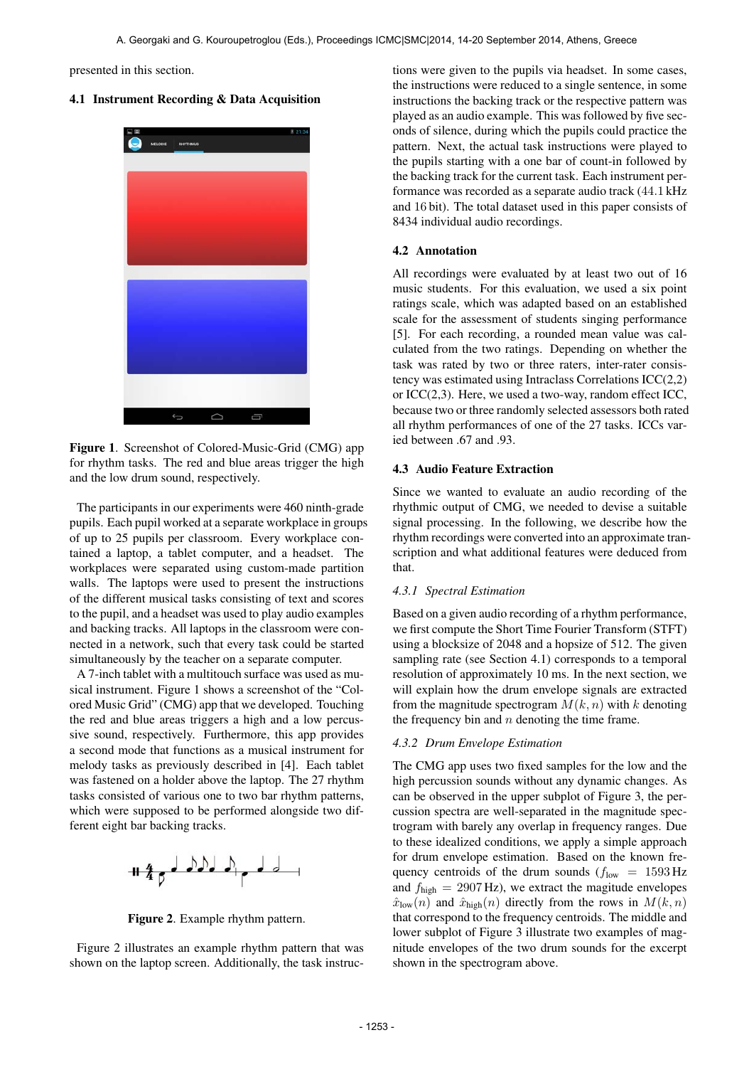presented in this section.

## 4.1 Instrument Recording & Data Acquisition



Figure 1. Screenshot of Colored-Music-Grid (CMG) app for rhythm tasks. The red and blue areas trigger the high and the low drum sound, respectively.

The participants in our experiments were 460 ninth-grade pupils. Each pupil worked at a separate workplace in groups of up to 25 pupils per classroom. Every workplace contained a laptop, a tablet computer, and a headset. The workplaces were separated using custom-made partition walls. The laptops were used to present the instructions of the different musical tasks consisting of text and scores to the pupil, and a headset was used to play audio examples and backing tracks. All laptops in the classroom were connected in a network, such that every task could be started simultaneously by the teacher on a separate computer.

A 7-inch tablet with a multitouch surface was used as musical instrument. Figure 1 shows a screenshot of the "Colored Music Grid" (CMG) app that we developed. Touching the red and blue areas triggers a high and a low percussive sound, respectively. Furthermore, this app provides a second mode that functions as a musical instrument for melody tasks as previously described in [4]. Each tablet was fastened on a holder above the laptop. The 27 rhythm tasks consisted of various one to two bar rhythm patterns, which were supposed to be performed alongside two different eight bar backing tracks.



Figure 2. Example rhythm pattern.

Figure 2 illustrates an example rhythm pattern that was shown on the laptop screen. Additionally, the task instructions were given to the pupils via headset. In some cases, the instructions were reduced to a single sentence, in some instructions the backing track or the respective pattern was played as an audio example. This was followed by five seconds of silence, during which the pupils could practice the pattern. Next, the actual task instructions were played to the pupils starting with a one bar of count-in followed by the backing track for the current task. Each instrument performance was recorded as a separate audio track (44.1 kHz and 16 bit). The total dataset used in this paper consists of 8434 individual audio recordings.

#### 4.2 Annotation

All recordings were evaluated by at least two out of 16 music students. For this evaluation, we used a six point ratings scale, which was adapted based on an established scale for the assessment of students singing performance [5]. For each recording, a rounded mean value was calculated from the two ratings. Depending on whether the task was rated by two or three raters, inter-rater consistency was estimated using Intraclass Correlations ICC(2,2) or ICC(2,3). Here, we used a two-way, random effect ICC, because two or three randomly selected assessors both rated all rhythm performances of one of the 27 tasks. ICCs varied between .67 and .93.

#### 4.3 Audio Feature Extraction

Since we wanted to evaluate an audio recording of the rhythmic output of CMG, we needed to devise a suitable signal processing. In the following, we describe how the rhythm recordings were converted into an approximate transcription and what additional features were deduced from that.

# *4.3.1 Spectral Estimation*

Based on a given audio recording of a rhythm performance, we first compute the Short Time Fourier Transform (STFT) using a blocksize of 2048 and a hopsize of 512. The given sampling rate (see Section 4.1) corresponds to a temporal resolution of approximately 10 ms. In the next section, we will explain how the drum envelope signals are extracted from the magnitude spectrogram  $M(k, n)$  with k denoting the frequency bin and  $n$  denoting the time frame.

## *4.3.2 Drum Envelope Estimation*

The CMG app uses two fixed samples for the low and the high percussion sounds without any dynamic changes. As can be observed in the upper subplot of Figure 3, the percussion spectra are well-separated in the magnitude spectrogram with barely any overlap in frequency ranges. Due to these idealized conditions, we apply a simple approach for drum envelope estimation. Based on the known frequency centroids of the drum sounds  $(f_{low} = 1593 \text{ Hz})$ and  $f_{\text{high}} = 2907 \text{ Hz}$ , we extract the magitude envelopes  $\hat{x}_{\text{low}}(n)$  and  $\hat{x}_{\text{high}}(n)$  directly from the rows in  $M(k, n)$ that correspond to the frequency centroids. The middle and lower subplot of Figure 3 illustrate two examples of magnitude envelopes of the two drum sounds for the excerpt shown in the spectrogram above.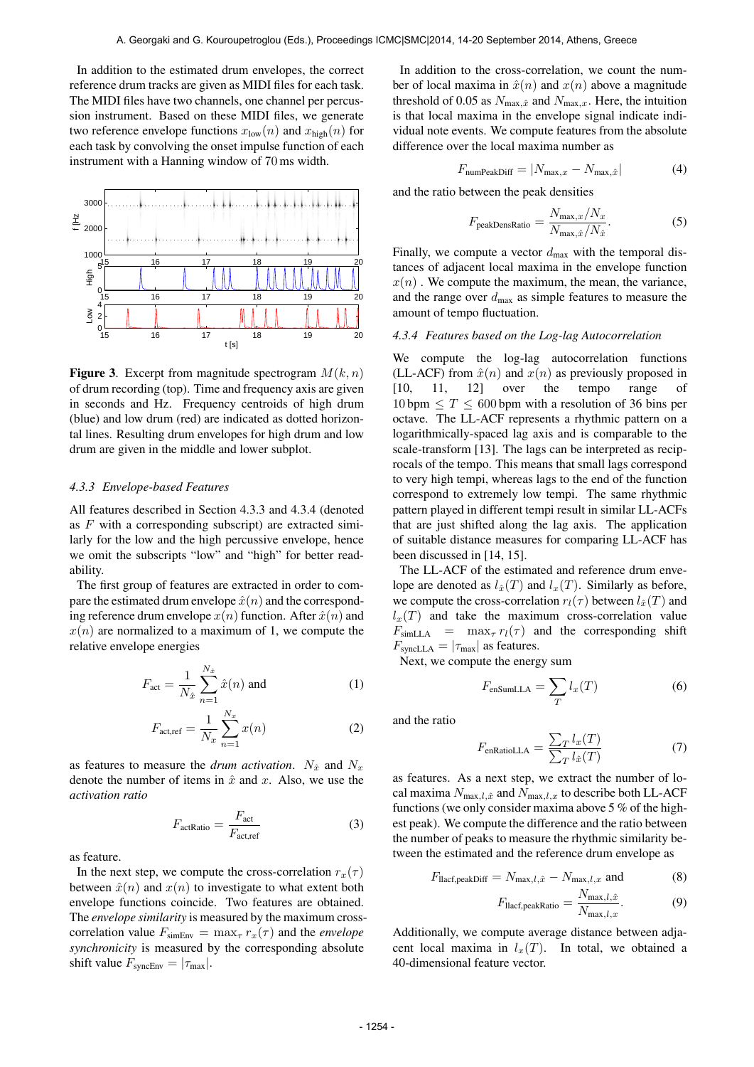In addition to the estimated drum envelopes, the correct reference drum tracks are given as MIDI files for each task. The MIDI files have two channels, one channel per percussion instrument. Based on these MIDI files, we generate two reference envelope functions  $x_{\text{low}}(n)$  and  $x_{\text{high}}(n)$  for each task by convolving the onset impulse function of each instrument with a Hanning window of 70 ms width.



**Figure 3.** Excerpt from magnitude spectrogram  $M(k, n)$ of drum recording (top). Time and frequency axis are given in seconds and Hz. Frequency centroids of high drum (blue) and low drum (red) are indicated as dotted horizontal lines. Resulting drum envelopes for high drum and low drum are given in the middle and lower subplot.

#### *4.3.3 Envelope-based Features*

All features described in Section 4.3.3 and 4.3.4 (denoted as  $F$  with a corresponding subscript) are extracted similarly for the low and the high percussive envelope, hence we omit the subscripts "low" and "high" for better readability.

The first group of features are extracted in order to compare the estimated drum envelope  $\hat{x}(n)$  and the corresponding reference drum envelope  $x(n)$  function. After  $\hat{x}(n)$  and  $x(n)$  are normalized to a maximum of 1, we compute the relative envelope energies

$$
F_{\text{act}} = \frac{1}{N_{\hat{x}}} \sum_{n=1}^{N_{\hat{x}}} \hat{x}(n) \text{ and } \tag{1}
$$

$$
F_{\text{act,ref}} = \frac{1}{N_x} \sum_{n=1}^{N_x} x(n) \tag{2}
$$

as features to measure the *drum activation*.  $N_{\hat{x}}$  and  $N_x$ denote the number of items in  $\hat{x}$  and x. Also, we use the *activation ratio*

$$
F_{\text{actRatio}} = \frac{F_{\text{act}}}{F_{\text{act,ref}}}
$$
 (3)

as feature.

In the next step, we compute the cross-correlation  $r_x(\tau)$ between  $\hat{x}(n)$  and  $x(n)$  to investigate to what extent both envelope functions coincide. Two features are obtained. The *envelope similarity* is measured by the maximum crosscorrelation value  $F_{\text{simEnv}} = \max_{\tau} r_x(\tau)$  and the *envelope synchronicity* is measured by the corresponding absolute shift value  $F_{\text{syncEnv}} = |\tau_{\text{max}}|$ .

In addition to the cross-correlation, we count the number of local maxima in  $\hat{x}(n)$  and  $x(n)$  above a magnitude threshold of 0.05 as  $N_{\text{max},\hat{x}}$  and  $N_{\text{max},x}$ . Here, the intuition is that local maxima in the envelope signal indicate individual note events. We compute features from the absolute difference over the local maxima number as

$$
F_{\text{numPeakDiff}} = |N_{\text{max},x} - N_{\text{max},\hat{x}}| \tag{4}
$$

and the ratio between the peak densities

$$
F_{\text{peakDensRatio}} = \frac{N_{\text{max},x}/N_x}{N_{\text{max},\hat{x}}/N_{\hat{x}}}.
$$
 (5)

Finally, we compute a vector  $d_{\text{max}}$  with the temporal distances of adjacent local maxima in the envelope function  $x(n)$ . We compute the maximum, the mean, the variance, and the range over  $d_{\text{max}}$  as simple features to measure the amount of tempo fluctuation.

#### *4.3.4 Features based on the Log-lag Autocorrelation*

We compute the log-lag autocorrelation functions (LL-ACF) from  $\hat{x}(n)$  and  $x(n)$  as previously proposed in [10, 11, 12] over the tempo range of  $10 \text{ bpm} \leq T \leq 600 \text{ bpm}$  with a resolution of 36 bins per octave. The LL-ACF represents a rhythmic pattern on a logarithmically-spaced lag axis and is comparable to the scale-transform [13]. The lags can be interpreted as reciprocals of the tempo. This means that small lags correspond to very high tempi, whereas lags to the end of the function correspond to extremely low tempi. The same rhythmic pattern played in different tempi result in similar LL-ACFs that are just shifted along the lag axis. The application of suitable distance measures for comparing LL-ACF has been discussed in [14, 15].

The LL-ACF of the estimated and reference drum envelope are denoted as  $l_{\hat{x}}(T)$  and  $l_{x}(T)$ . Similarly as before, we compute the cross-correlation  $r_l(\tau)$  between  $l_{\hat{\tau}}(T)$  and  $l_x(T)$  and take the maximum cross-correlation value  $F_{simLLA}$  =  $max_{\tau} r_l(\tau)$  and the corresponding shift  $F_{\text{syncLLA}} = |\tau_{\text{max}}|$  as features.

Next, we compute the energy sum

$$
F_{\text{enSumLLA}} = \sum_{T} l_x(T) \tag{6}
$$

and the ratio

$$
F_{\text{enRatioLLA}} = \frac{\sum_{T} l_x(T)}{\sum_{T} l_{\hat{x}}(T)} \tag{7}
$$

as features. As a next step, we extract the number of local maxima  $N_{\text{max},l,\hat{x}}$  and  $N_{\text{max},l,x}$  to describe both LL-ACF functions (we only consider maxima above 5 % of the highest peak). We compute the difference and the ratio between the number of peaks to measure the rhythmic similarity between the estimated and the reference drum envelope as

$$
F_{\text{llacf},\text{peakDiff}} = N_{\text{max},l,\hat{x}} - N_{\text{max},l,x} \text{ and } (8)
$$

$$
F_{\text{lacf,peakRatio}} = \frac{N_{\text{max},l,\hat{x}}}{N_{\text{max},l,x}}.
$$
 (9)

Additionally, we compute average distance between adjacent local maxima in  $l_x(T)$ . In total, we obtained a 40-dimensional feature vector.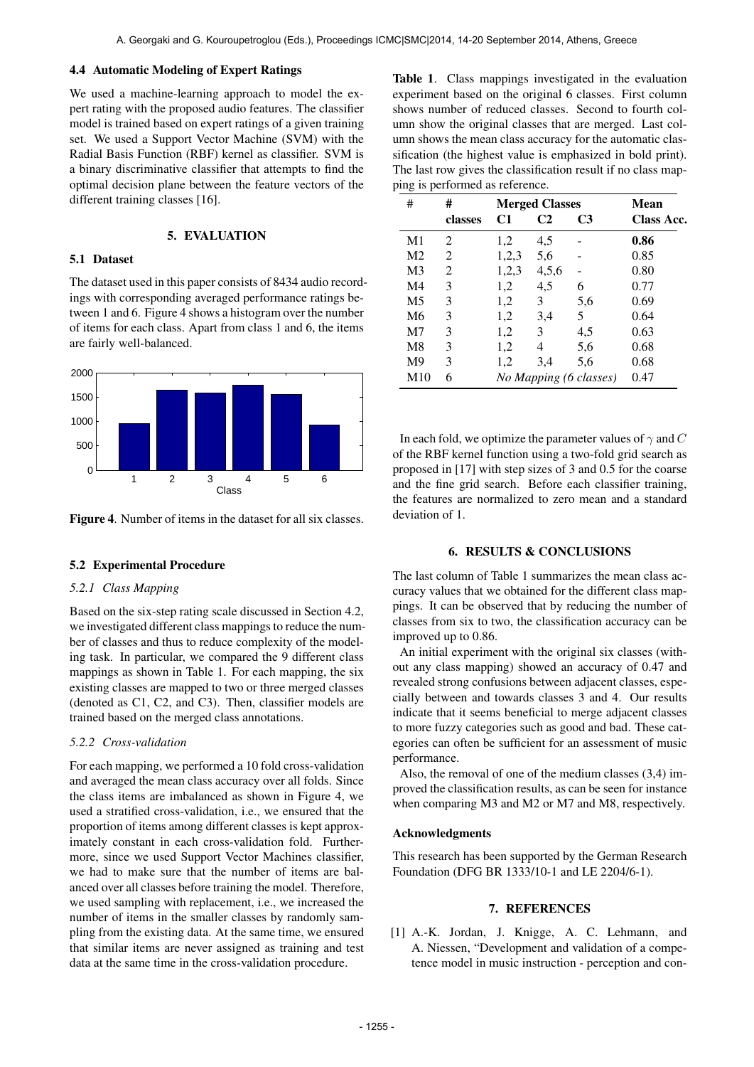#### 4.4 Automatic Modeling of Expert Ratings

We used a machine-learning approach to model the expert rating with the proposed audio features. The classifier model is trained based on expert ratings of a given training set. We used a Support Vector Machine (SVM) with the Radial Basis Function (RBF) kernel as classifier. SVM is a binary discriminative classifier that attempts to find the optimal decision plane between the feature vectors of the different training classes [16].

#### 5. EVALUATION

#### 5.1 Dataset

The dataset used in this paper consists of 8434 audio recordings with corresponding averaged performance ratings between 1 and 6. Figure 4 shows a histogram over the number of items for each class. Apart from class 1 and 6, the items are fairly well-balanced.



Figure 4. Number of items in the dataset for all six classes.

#### 5.2 Experimental Procedure

#### *5.2.1 Class Mapping*

Based on the six-step rating scale discussed in Section 4.2, we investigated different class mappings to reduce the number of classes and thus to reduce complexity of the modeling task. In particular, we compared the 9 different class mappings as shown in Table 1. For each mapping, the six existing classes are mapped to two or three merged classes (denoted as C1, C2, and C3). Then, classifier models are trained based on the merged class annotations.

## *5.2.2 Cross-validation*

For each mapping, we performed a 10 fold cross-validation and averaged the mean class accuracy over all folds. Since the class items are imbalanced as shown in Figure 4, we used a stratified cross-validation, i.e., we ensured that the proportion of items among different classes is kept approximately constant in each cross-validation fold. Furthermore, since we used Support Vector Machines classifier, we had to make sure that the number of items are balanced over all classes before training the model. Therefore, we used sampling with replacement, i.e., we increased the number of items in the smaller classes by randomly sampling from the existing data. At the same time, we ensured that similar items are never assigned as training and test data at the same time in the cross-validation procedure.

Table 1. Class mappings investigated in the evaluation experiment based on the original 6 classes. First column shows number of reduced classes. Second to fourth column show the original classes that are merged. Last column shows the mean class accuracy for the automatic classification (the highest value is emphasized in bold print). The last row gives the classification result if no class mapping is performed as reference.

| ັ<br>л.<br>#   | #              | <b>Merged Classes</b>  |                |                | Mean       |
|----------------|----------------|------------------------|----------------|----------------|------------|
|                | classes        | C1                     | C <sub>2</sub> | C <sub>3</sub> | Class Acc. |
| M <sub>1</sub> | $\mathfrak{D}$ | 1,2                    | 4,5            |                | 0.86       |
| M <sub>2</sub> | 2              | 1,2,3                  | 5,6            |                | 0.85       |
| M3             | 2              | 1,2,3                  | 4,5,6          |                | 0.80       |
| M4             | 3              | 1,2                    | 4,5            | 6              | 0.77       |
| M <sub>5</sub> | 3              | 1,2                    | 3              | 5,6            | 0.69       |
| M6             | 3              | 1,2                    | 3,4            | 5              | 0.64       |
| M7             | 3              | 1,2                    | 3              | 4,5            | 0.63       |
| M8             | 3              | 1,2                    | 4              | 5,6            | 0.68       |
| M <sup>9</sup> | 3              | 1,2                    | 3,4            | 5,6            | 0.68       |
| M10            | 6              | No Mapping (6 classes) |                |                | 0.47       |

In each fold, we optimize the parameter values of  $\gamma$  and C of the RBF kernel function using a two-fold grid search as proposed in [17] with step sizes of 3 and 0.5 for the coarse and the fine grid search. Before each classifier training, the features are normalized to zero mean and a standard deviation of 1.

#### 6. RESULTS & CONCLUSIONS

The last column of Table 1 summarizes the mean class accuracy values that we obtained for the different class mappings. It can be observed that by reducing the number of classes from six to two, the classification accuracy can be improved up to 0.86.

An initial experiment with the original six classes (without any class mapping) showed an accuracy of 0.47 and revealed strong confusions between adjacent classes, especially between and towards classes 3 and 4. Our results indicate that it seems beneficial to merge adjacent classes to more fuzzy categories such as good and bad. These categories can often be sufficient for an assessment of music performance.

Also, the removal of one of the medium classes (3,4) improved the classification results, as can be seen for instance when comparing M3 and M2 or M7 and M8, respectively.

#### Acknowledgments

This research has been supported by the German Research Foundation (DFG BR 1333/10-1 and LE 2204/6-1).

## 7. REFERENCES

[1] A.-K. Jordan, J. Knigge, A. C. Lehmann, and A. Niessen, "Development and validation of a competence model in music instruction - perception and con